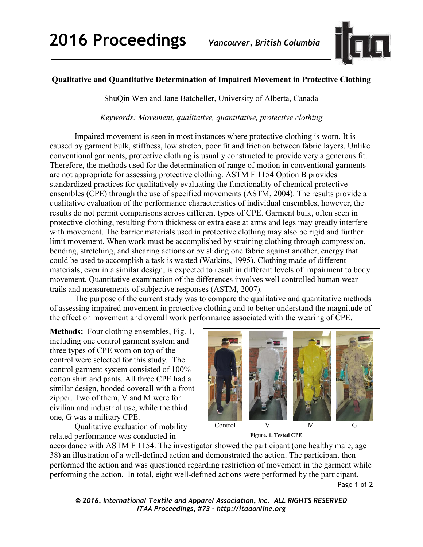

## **Qualitative and Quantitative Determination of Impaired Movement in Protective Clothing**

ShuQin Wen and Jane Batcheller, University of Alberta, Canada

*Keywords: Movement, qualitative, quantitative, protective clothing* 

Impaired movement is seen in most instances where protective clothing is worn. It is caused by garment bulk, stiffness, low stretch, poor fit and friction between fabric layers. Unlike conventional garments, protective clothing is usually constructed to provide very a generous fit. Therefore, the methods used for the determination of range of motion in conventional garments are not appropriate for assessing protective clothing. ASTM F 1154 Option B provides standardized practices for qualitatively evaluating the functionality of chemical protective ensembles (CPE) through the use of specified movements (ASTM, 2004). The results provide a qualitative evaluation of the performance characteristics of individual ensembles, however, the results do not permit comparisons across different types of CPE. Garment bulk, often seen in protective clothing, resulting from thickness or extra ease at arms and legs may greatly interfere with movement. The barrier materials used in protective clothing may also be rigid and further limit movement. When work must be accomplished by straining clothing through compression, bending, stretching, and shearing actions or by sliding one fabric against another, energy that could be used to accomplish a task is wasted (Watkins, 1995). Clothing made of different materials, even in a similar design, is expected to result in different levels of impairment to body movement. Quantitative examination of the differences involves well controlled human wear trails and measurements of subjective responses (ASTM, 2007).

The purpose of the current study was to compare the qualitative and quantitative methods of assessing impaired movement in protective clothing and to better understand the magnitude of the effect on movement and overall work performance associated with the wearing of CPE.

**Methods:** Four clothing ensembles, Fig. 1, including one control garment system and three types of CPE worn on top of the control were selected for this study. The control garment system consisted of 100% cotton shirt and pants. All three CPE had a similar design, hooded coverall with a front zipper. Two of them, V and M were for civilian and industrial use, while the third one, G was a military CPE.

Qualitative evaluation of mobility related performance was conducted in





accordance with ASTM F 1154. The investigator showed the participant (one healthy male, age 38) an illustration of a well-defined action and demonstrated the action. The participant then performed the action and was questioned regarding restriction of movement in the garment while performing the action. In total, eight well-defined actions were performed by the participant.

Page **1** of **2** 

*© 2016, International Textile and Apparel Association, Inc. ALL RIGHTS RESERVED ITAA Proceedings, #73 – http://itaaonline.org*